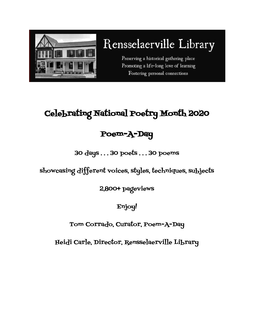

# Rensselaerville Library

Preserving a historical gathering place Promoting a life-long love of learning Fostering personal connections

## Celebrating National Poetry Month 2020

### Poem-A-Day

30 days . . . 30 poets . . . 30 poems

showcasing different voices, styles, techniques, subjects

2,800+ pageviews

Enjoy!

### Tom Corrado, Curator, Poem-A-Day

Heidi Carle, Director, Rensselaerville Library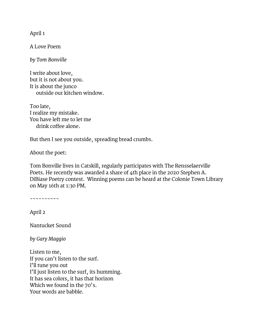April 1

A Love Poem

*by Tom Bonville*

I write about love, but it is not about you. It is about the junco outside our kitchen window.

Too late, I realize my mistake. You have left me to let me drink coffee alone.

But then I see you outside, spreading bread crumbs.

About the poet:

Tom Bonville lives in Catskill, regularly participates with The Rensselaerville Poets. He recently was awarded a share of 4th place in the 2020 Stephen A. DiBiase Poetry contest. Winning poems can be heard at the Colonie Town Library on May 16th at 1:30 PM.

~~~~~~~~~~

April 2

Nantucket Sound

*by Gary Maggio*

Listen to me, If you can't listen to the surf. I'll tune you out I'll just listen to the surf, its humming. It has sea colors, it has that horizon Which we found in the 70's. Your words are babble.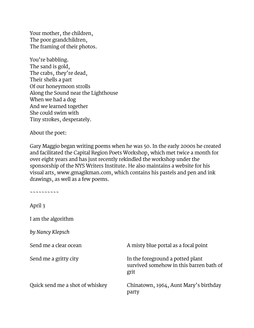Your mother, the children, The poor grandchildren, The framing of their photos.

You're babbling. The sand is gold, The crabs, they're dead, Their shells a part Of our honeymoon strolls Along the Sound near the Lighthouse When we had a dog And we learned together She could swim with Tiny strokes, desperately.

About the poet:

Gary Maggio began writing poems when he was 50. In the early 2000s he created and facilitated the Capital Region Poets Workshop, which met twice a month for over eight years and has just recently rekindled the workshop under the sponsorship of the NYS Writers Institute. He also maintains a website for his visual arts, [www.gmagikman.com,](http://www.gmagikman.com/) which contains his pastels and pen and ink drawings, as well as a few poems.

~~~~~~~~~~

April 3

I am the algorithm

*by Nancy Klepsch*

Send me a clear ocean

Send me a gritty city

Quick send me a shot of whiskey

A misty blue portal as a focal point

In the foreground a potted plant survived somehow in this barren bath of grit

Chinatown, 1964, Aunt Mary's birthday party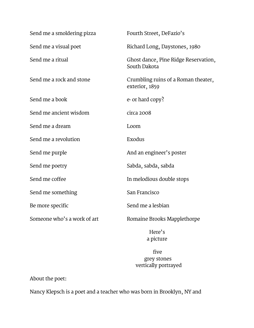| Send me a smoldering pizza  | Fourth Street, DeFazio's                              |
|-----------------------------|-------------------------------------------------------|
| Send me a visual poet       | Richard Long, Daystones, 1980                         |
| Send me a ritual            | Ghost dance, Pine Ridge Reservation,<br>South Dakota  |
| Send me a rock and stone    | Crumbling ruins of a Roman theater,<br>exterior, 1859 |
| Send me a book              | e- or hard copy?                                      |
| Send me ancient wisdom      | circa 2008                                            |
| Send me a dream             | Loom                                                  |
| Send me a revolution        | Exodus                                                |
| Send me purple              | And an engineer's poster                              |
| Send me poetry              | Sabda, sabda, sabda                                   |
| Send me coffee              | In melodious double stops                             |
| Send me something           | San Francisco                                         |
| Be more specific            | Send me a lesbian                                     |
| Someone who's a work of art | Romaine Brooks Mapplethorpe                           |

 Here's a picture

 five grey stones vertically portrayed

About the poet:

Nancy Klepsch is a poet and a teacher who was born in Brooklyn, NY and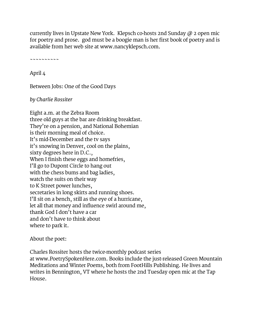currently lives in Upstate New York. Klepsch co-hosts 2nd Sunday  $\varpi$  2 open mic for poetry and prose. god must be a boogie man is her first book of poetry and is available from her web site at [www.nancyklepsch.com.](http://www.nancyklepsch.com/)

 $\sim\sim\sim\sim\sim\sim\sim\sim\sim\sim$ 

April 4

Between Jobs: One of the Good Days

*by Charlie Rossiter*

Eight a.m. at the Zebra Room three old guys at the bar are drinking breakfast. They're on a pension, and National Bohemian is their morning meal of choice. It's mid-December and the tv says it's snowing in Denver, cool on the plains, sixty degrees here in D.C., When I finish these eggs and homefries, I'll go to Dupont Circle to hang out with the chess bums and bag ladies, watch the suits on their way to K Street power lunches, secretaries in long skirts and running shoes. I'll sit on a bench, still as the eye of a hurricane, let all that money and influence swirl around me, thank God I don't have a car and don't have to think about where to park it.

#### About the poet:

Charles Rossiter hosts the twice-monthly podcast series at [www.PoetrySpokenHere.com.](http://www.poetryspokenhere.com/) Books include the just-released Green Mountain Meditations and Winter Poems, both from FootHills Publishing. He lives and writes in Bennington, VT where he hosts the 2nd Tuesday open mic at the Tap House.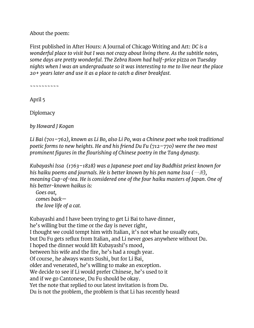About the poem:

First published in After Hours: A Journal of Chicago Writing and Art: *DC is a wonderful place to visit but I was not crazy about living there. As the subtitle notes, some days are pretty wonderful. The Zebra Room had half-price pizza on Tuesday nights when I was an undergraduate so it was interesting to me to live near the place 20+ years later and use it as a place to catch a diner breakfast.*

~~~~~~~~~~

April 5

**Diplomacy** 

*by Howard J Kogan*

*Li Bai (701–762), known as Li Bo, also Li Po, was a Chinese poet who took traditional poetic forms to new heights. He and his friend Du Fu (712–770) were the two most prominent figures in the flourishing of Chinese poetry in the Tang dynasty.*

```
Kubayashi Issa (1763–1828) was a Japanese poet and lay Buddhist priest known for 
his haiku poems and journals. He is better known by his pen name Issa (一茶), 
meaning Cup-of-tea. He is considered one of the four haiku masters of Japan. One of 
his better-known haikus is:
```
*Goes out, comes back the love life of a cat.*

Kubayashi and I have been trying to get Li Bai to have dinner, he's willing but the time or the day is never right, I thought we could tempt him with Italian, it's not what he usually eats, but Du Fu gets reflux from Italian, and Li never goes anywhere without Du. I hoped the dinner would lift Kubayashi's mood, between his wife and the fire, he's had a rough year. Of course, he always wants Sushi, but for Li Bai, older and venerated, he's willing to make an exception. We decide to see if Li would prefer Chinese, he's used to it and if we go Cantonese, Du Fu should be okay. Yet the note that replied to our latest invitation is from Du. Du is not the problem, the problem is that Li has recently heard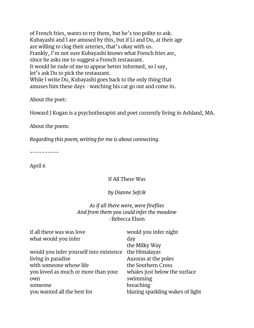of French fries, wants to try them, but he's too polite to ask. Kubayashi and I are amused by this, but if Li and Du, at their age are willing to clog their arteries, that's okay with us. Frankly, I'm not sure Kubayashi knows what French fries are, since he asks me to suggest a French restaurant. It would be rude of me to appear better informed, so I say, let's ask Du to pick the restaurant. While I write Du, Kubayashi goes back to the only thing that amuses him these days – watching his cat go out and come in.

About the poet:

Howard J Kogan is a psychotherapist and poet currently living in Ashland, MA.

About the poem:

*Regarding this poem; writing for me is about connecting.*

~~~~~~~~~~

April 6

#### If All There Was

#### *by Dianne Sefcik*

#### *As if all there were, were fireflies And from them you could infer the meadow* - Rebecca Elson

| if all there was was love               | would you infer night            |
|-----------------------------------------|----------------------------------|
| what would you infer                    | day                              |
|                                         | the Milky Way                    |
| would you infer yourself into existence | the Himalayas                    |
| living in paradise                      | Auroras at the poles             |
| with someone whose life                 | the Southern Cross               |
| you loved as much or more than your     | whales just below the surface    |
| own                                     | swimming                         |
| someone                                 | breaching                        |
| you wanted all the best for             | blazing sparkling wakes of light |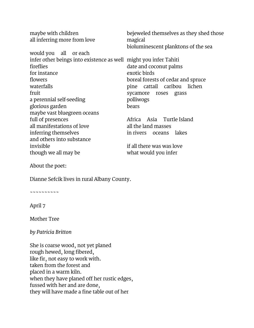| maybe with children<br>all inferring more from love              | bejeweled themselves as they shed those<br>magical<br>bioluminescent planktons of the sea |
|------------------------------------------------------------------|-------------------------------------------------------------------------------------------|
| would you all or each                                            |                                                                                           |
| infer other beings into existence as well might you infer Tahiti |                                                                                           |
| fireflies                                                        | date and coconut palms                                                                    |
| for instance                                                     | exotic birds                                                                              |
| flowers                                                          | boreal forests of cedar and spruce                                                        |
| waterfalls                                                       | pine cattail caribou lichen                                                               |
| fruit                                                            | sycamore roses grass                                                                      |
| a perennial self-seeding                                         | polliwogs                                                                                 |
| glorious garden                                                  | bears                                                                                     |
| maybe vast bluegreen oceans                                      |                                                                                           |
| full of presences                                                | Africa Asia Turtle Island                                                                 |
| all manifestations of love                                       | all the land masses                                                                       |
| inferring themselves                                             | in rivers oceans lakes                                                                    |
| and others into substance                                        |                                                                                           |
| invisible                                                        | if all there was was love                                                                 |
| though we all may be                                             | what would you infer                                                                      |

About the poet:

Dianne Sefcik lives in rural Albany County.

~~~~~~~~~~

April 7

Mother Tree

*by Patricia Britton*

She is coarse wood, not yet planed rough hewed, long fibered, like fir, not easy to work with. taken from the forest and placed in a warm kiln. when they have planed off her rustic edges, fussed with her and are done, they will have made a fine table out of her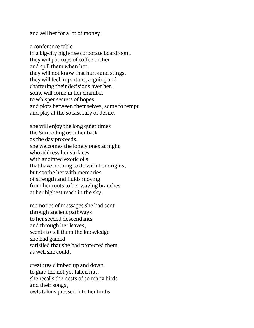and sell her for a lot of money.

a conference table in a big-city high-rise corporate boardroom. they will put cups of coffee on her and spill them when hot. they will not know that hurts and stings. they will feel important, arguing and chattering their decisions over her. some will come in her chamber to whisper secrets of hopes and plots between themselves, some to tempt and play at the so fast fury of desire.

she will enjoy the long quiet times the Sun rolling over her back as the day proceeds. she welcomes the lonely ones at night who address her surfaces with anointed exotic oils that have nothing to do with her origins, but soothe her with memories of strength and fluids moving from her roots to her waving branches at her highest reach in the sky.

memories of messages she had sent through ancient pathways to her seeded descendants and through her leaves, scents to tell them the knowledge she had gained satisfied that she had protected them as well she could.

creatures climbed up and down to grab the not yet fallen nut. she recalls the nests of so many birds and their songs, owls talons pressed into her limbs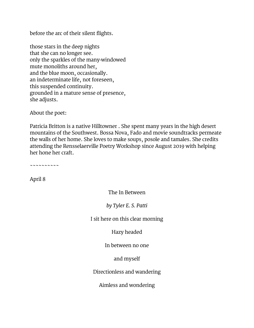before the arc of their silent flights.

those stars in the deep nights that she can no longer see. only the sparkles of the many-windowed mute monoliths around her, and the blue moon, occasionally. an indeterminate life, not foreseen, this suspended continuity. grounded in a mature sense of presence, she adjusts.

About the poet:

Patricia Britton is a native Hilltowner . She spent many years in the high desert mountains of the Southwest. Bossa Nova, Fado and movie soundtracks permeate the walls of her home. She loves to make soups, posole and tamales. She credits attending the Rensselaerville Poetry Workshop since August 2019 with helping her hone her craft.

~~~~~~~~~~

April 8

The In Between

*by Tyler E. S. Patti*

I sit here on this clear morning

Hazy headed

In between no one

and myself

Directionless and wandering

Aimless and wondering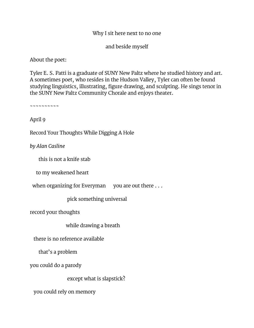#### Why I sit here next to no one

and beside myself

About the poet:

Tyler E. S. Patti is a graduate of SUNY New Paltz where he studied history and art. A sometimes poet, who resides in the Hudson Valley, Tyler can often be found studying linguistics, illustrating, figure drawing, and sculpting. He sings tenor in the SUNY New Paltz Community Chorale and enjoys theater.

~~~~~~~~~~

April 9

Record Your Thoughts While Digging A Hole

*by Alan Casline*

this is not a knife stab

to my weakened heart

when organizing for Everyman you are out there  $\dots$ 

pick something universal

record your thoughts

while drawing a breath

there is no reference available

that's a problem

you could do a parody

except what is slapstick?

you could rely on memory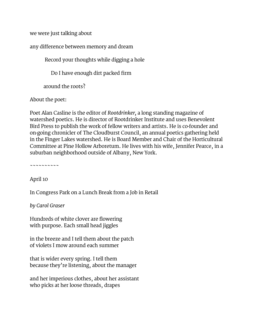we were just talking about

any difference between memory and dream

Record your thoughts while digging a hole

Do I have enough dirt packed firm

around the roots?

About the poet:

Poet Alan Casline is the editor of *Rootdrinker,* a long standing magazine of watershed poetics. He is director of Rootdrinker Institute and uses Benevolent Bird Press to publish the work of fellow writers and artists. He is co-founder and on-going chronicler of The Cloudburst Council, an annual poetics gathering held in the Finger Lakes watershed. He is Board Member and Chair of the Horticultural Committee at Pine Hollow Arboretum. He lives with his wife, Jennifer Pearce, in a suburban neighborhood outside of Albany, New York.

~~~~~~~~~~

April 10

In Congress Park on a Lunch Break from a Job in Retail

*by Carol Graser*

Hundreds of white clover are flowering with purpose. Each small head jiggles

in the breeze and I tell them about the patch of violets I mow around each summer

that is wider every spring. I tell them because they're listening, about the manager

and her imperious clothes, about her assistant who picks at her loose threads, drapes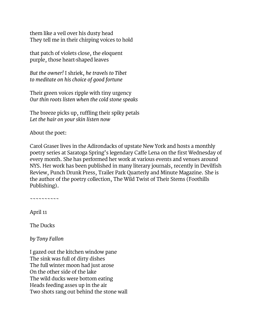them like a veil over his dusty head They tell me in their chirping voices to hold

that patch of violets close, the eloquent purple, those heart-shaped leaves

*But the owner!* I shriek, *he travels to Tibet to meditate on his choice of good fortune*

Their green voices ripple with tiny urgency *Our thin roots listen when the cold stone speaks*

The breeze picks up, ruffling their spiky petals *Let the hair on your skin listen now*

About the poet:

Carol Graser lives in the Adirondacks of upstate New York and hosts a monthly poetry series at Saratoga Spring's legendary Caffe Lena on the first Wednesday of every month. She has performed her work at various events and venues around NYS. Her work has been published in many literary journals, recently in Devilfish Review, Punch Drunk Press, Trailer Park Quarterly and Minute Magazine. She is the author of the poetry collection, The Wild Twist of Their Stems [\(Foothills](http://www.foothillspublishing.com/2007/id177.htm)  [Publishing\)](http://www.foothillspublishing.com/2007/id177.htm).

~~~~~~~~~~

April 11

The Ducks

*by Tony Fallon*

I gazed out the kitchen window pane The sink was full of dirty dishes The full winter moon had just arose On the other side of the lake The wild ducks were bottom eating Heads feeding asses up in the air Two shots rang out behind the stone wall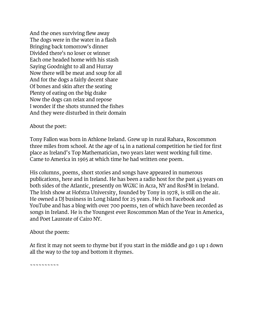And the ones surviving flew away The dogs were in the water in a flash Bringing back tomorrow's dinner Divided there's no loser or winner Each one headed home with his stash Saying Goodnight to all and Hurray Now there will be meat and soup for all And for the dogs a fairly decent share Of bones and skin after the seating Plenty of eating on the big drake Now the dogs can relax and repose I wonder if the shots stunned the fishes And they were disturbed in their domain

#### About the poet:

Tony Fallon was born in Athlone Ireland. Grew up in rural Rahara, Roscommon three miles from school. At the age of 14 in a national competition he tied for first place as Ireland's Top Mathematician, two years later went working full time. Came to America in 1965 at which time he had written one poem.

His columns, poems, short stories and songs have appeared in numerous publications, here and in Ireland. He has been a radio host for the past 43 years on both sides of the Atlantic, presently on WGXC in Acra, NY and RosFM in Ireland. The Irish show at Hofstra University, founded by Tony in 1978, is still on the air. He owned a DJ business in Long Island for 25 years. He is on Facebook and YouTube and has a blog with over 700 poems, ten of which have been recorded as songs in Ireland. He is the Youngest ever Roscommon Man of the Year in America, and Poet Laureate of Cairo NY.

#### About the poem:

At first it may not seem to rhyme but if you start in the middle and go 1 up 1 down all the way to the top and bottom it rhymes.

~~~~~~~~~~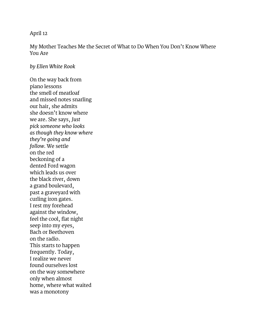#### April 12

My Mother Teaches Me the Secret of What to Do When You Don't Know Where You Are

#### *by Ellen White Rook*

On the way back from piano lessons the smell of meatloaf and missed notes snarling our hair, she admits she doesn't know where we are. She says, *Just pick someone who looks as though they know where they're going and follow.* We settle on the red beckoning of a dented Ford wagon which leads us over the black river, down a grand boulevard, past a graveyard with curling iron gates. I rest my forehead against the window, feel the cool, flat night seep into my eyes, Bach or Beethoven on the radio. This starts to happen frequently. Today, I realize we never found ourselves lost on the way somewhere only when almost home, where what waited was a monotony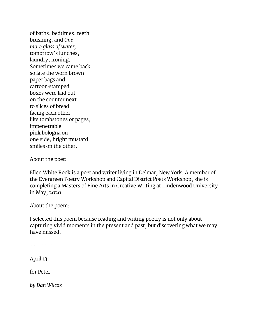of baths, bedtimes, teeth brushing, and *One more glass of water,* tomorrow's lunches, laundry, ironing. Sometimes we came back so late the worn brown paper bags and cartoon-stamped boxes were laid out on the counter next to slices of bread facing each other like tombstones or pages, impenetrable pink bologna on one side, bright mustard smiles on the other.

About the poet:

Ellen White Rook is a poet and writer living in Delmar, New York. A member of the Evergreen Poetry Workshop and Capital District Poets Workshop, she is completing a Masters of Fine Arts in Creative Writing at Lindenwood University in May, 2020.

About the poem:

I selected this poem because reading and writing poetry is not only about capturing vivid moments in the present and past, but discovering what we may have missed.

~~~~~~~~~~

April 13

for Peter

*by Dan Wilcox*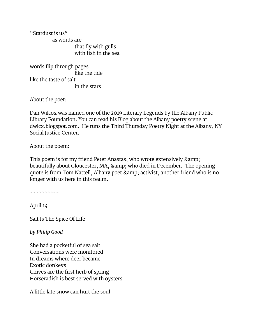"Stardust is us" as words are that fly with gulls with fish in the sea

words flip through pages like the tide like the taste of salt in the stars

About the poet:

Dan Wilcox was named one of the 2019 Literary Legends by the Albany Public Library Foundation. You can read his Blog about the Albany poetry scene at dwlcx.blogspot.com. He runs the Third Thursday Poetry Night at the Albany, NY Social Justice Center.

About the poem:

This poem is for my friend Peter Anastas, who wrote extensively & beautifully about Gloucester, MA, & amp; who died in December. The opening quote is from Tom Nattell, Albany poet & amp; activist, another friend who is no longer with us here in this realm.

~~~~~~~~~~

April 14

Salt Is The Spice Of Life

*by Philip Good*

She had a pocketful of sea salt Conversations were monitored In dreams where deer became Exotic donkeys Chives are the first herb of spring Horseradish is best served with oysters

A little late snow can hurt the soul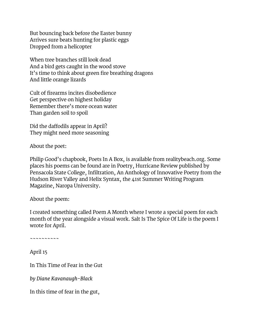But bouncing back before the Easter bunny Arrives sure beats hunting for plastic eggs Dropped from a helicopter

When tree branches still look dead And a bird gets caught in the wood stove It's time to think about green fire breathing dragons And little orange lizards

Cult of firearms incites disobedience Get perspective on highest holiday Remember there's more ocean water Than garden soil to spoil

Did the daffodils appear in April? They might need more seasoning

About the poet:

Philip Good's chapbook, Poets In A Box, is available from [realitybeach.org.](http://realitybeach.org/the-press/poets-in-a-box-or-pluto-in-motion/) Some places his poems can be found are in Poetry, Hurricane Review published by Pensacola State College, Infiltration, An Anthology of Innovative Poetry from the Hudson River Valley and Helix Syntax, the 41st Summer Writing Program Magazine, Naropa University.

#### About the poem:

I created something called Poem A Month where I wrote a special poem for each month of the year alongside a visual work. Salt Is The Spice Of Life is the poem I wrote for April.

~~~~~~~~~~

April 15

In This Time of Fear in the Gut

*by Diane Kavanaugh-Black*

In this time of fear in the gut,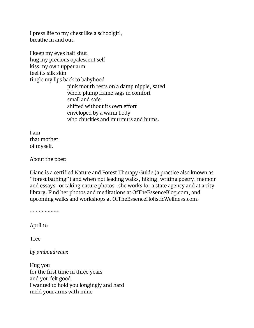I press life to my chest like a schoolgirl, breathe in and out.

I keep my eyes half shut, hug my precious opalescent self kiss my own upper arm feel its silk skin tingle my lips back to babyhood pink mouth rests on a damp nipple, sated whole plump frame sags in comfort small and safe shifted without its own effort enveloped by a warm body who chuckles and murmurs and hums.

I am that mother of myself.

About the poet:

Diane is a certified Nature and Forest Therapy Guide (a practice also known as "forest bathing") and when not leading walks, hiking, writing poetry, memoir and essays - or taking nature photos - she works for a state agency and at a city library. Find her photos and meditations at [OfTheEssenceBlog.com,](http://oftheessenceblog.com/) and upcoming walks and workshops at [OfTheEssenceHolisticWellness.com.](http://oftheessenceholisticwellness.com/)

~~~~~~~~~~

April 16

Tree

*by pmboudreaux*

Hug you for the first time in three years and you felt good I wanted to hold you longingly and hard meld your arms with mine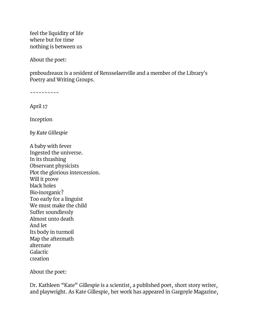feel the liquidity of life where but for time nothing is between us

About the poet:

pmboudreaux is a resident of Rensselaerville and a member of the Library's Poetry and Writing Groups.

~~~~~~~~~~

April 17

Inception

*by Kate Gillespie*

A baby with fever Ingested the universe. In its thrashing Observant physicists Plot the glorious intercession. Will it prove black holes Bio-inorganic? Too early for a linguist We must make the child Suffer soundlessly Almost unto death And let Its body in turmoil Map the aftermath alternate Galactic creation

About the poet:

Dr. Kathleen "Kate" Gillespie is a scientist, a published poet, short story writer, and playwright. As Kate Gillespie, her work has appeared in Gargoyle Magazine,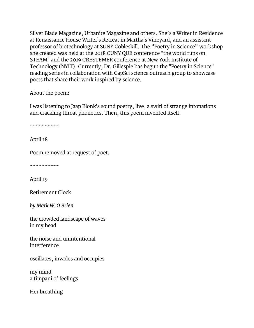Silver Blade Magazine, Urbanite Magazine and others. She's a Writer in Residence at Renaissance House Writer's Retreat in Martha's Vineyard, and an assistant professor of biotechnology at SUNY Cobleskill. The "Poetry in Science" workshop she created was held at the 2018 CUNY QUE conference "the world runs on STEAM" and the 2019 CRESTEMER conference at New York Institute of Technology (NYIT). Currently, Dr. Gillespie has begun the "Poetry in Science" reading series in collaboration with CapSci science outreach group to showcase poets that share their work inspired by science.

#### About the poem:

I was listening to Jaap Blonk's sound poetry, live, a swirl of strange intonations and crackling throat phonetics. Then, this poem invented itself.

~~~~~~~~~~

April 18

Poem removed at request of poet.

~~~~~~~~~~

April 19

Retirement Clock

*by Mark W. Ó Brien*

the crowded landscape of waves in my head

the noise and unintentional interference

oscillates, invades and occupies

my mind a timpani of feelings

Her breathing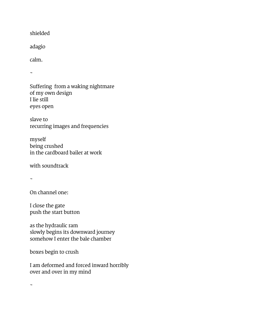shielded

adagio

calm.

 $\sim$ 

Suffering from a waking nightmare of my own design I lie still eyes open

slave to recurring images and frequencies

myself being crushed in the cardboard bailer at work

with soundtrack

~

On channel one:

I close the gate push the start button

as the hydraulic ram slowly begins its downward journey somehow I enter the bale chamber

boxes begin to crush

I am deformed and forced inward horribly over and over in my mind

 $\tilde{\phantom{a}}$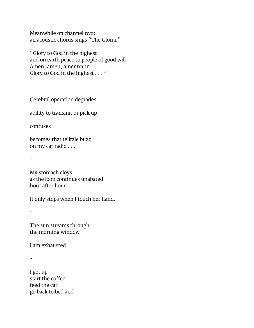Meanwhile on channel two: an acoustic chorus sings "The Gloria."

"Glory to God in the highest and on earth peace to people of good will Amen, amen, amennnnn Glory to God in the highest . . . "

 $\ddot{\phantom{0}}$ 

Cerebral operation degrades

ability to transmit or pick up

confuses

becomes that telltale buzz on my car radio . . .

 $\sim$ 

My stomach cloys as the loop continues unabated hour after hour

It only stops when I touch her hand.

 $\sim$ 

The sun streams through the morning window

I am exhausted

~

I get up start the coffee feed the cat go back to bed and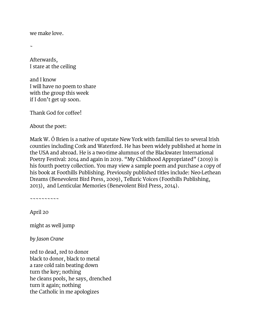we make love.

~

Afterwards, I stare at the ceiling

and I know I will have no poem to share with the group this week if I don't get up soon.

Thank God for coffee!

About the poet:

Mark W. Ó Brien is a native of upstate New York with familial ties to several Irish counties including Cork and Waterford. He has been widely published at home in the USA and abroad. He is a two-time alumnus of the Blackwater International Poetry Festival: 2014 and again in 2019. "My Childhood Appropriated" (2019) is his fourth poetry collection. You may view a sample poem and purchase a copy of his book at [Foothills Publishing.](http://www.foothillspublishing.com/2019/obrien.html) Previously published titles include: Neo-Lethean Dreams (Benevolent Bird Press, 2009), Telluric Voices [\(Foothills Publishing,](http://foothillspublishing.com/2014/id71.htm) 2013), and Lenticular Memories (Benevolent Bird Press, 2014).

~~~~~~~~~~

April 20

might as well jump

*by Jason Crane*

red to dead, red to donor black to donor, black to metal a rare cold rain beating down turn the key; nothing he cleans pools, he says, drenched turn it again; nothing the Catholic in me apologizes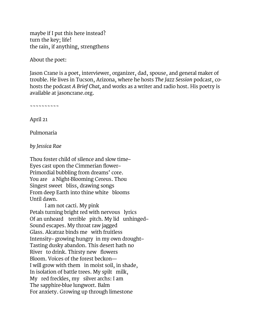maybe if I put this here instead? turn the key; life! the rain, if anything, strengthens

About the poet:

Jason Crane is a poet, interviewer, organizer, dad, spouse, and general maker of trouble. He lives in Tucson, Arizona, where he hosts *[The Jazz Session](http://thejazzsession.com/)* podcast, cohosts the podcast *[A Brief Chat,](http://abriefchat.com/)* and works as a writer and radio host. His poetry is available at [jasoncrane.org.](http://jasoncrane.org/)

~~~~~~~~~~

April 21

Pulmonaria

*by Jessica Rae*

Thou foster child of silence and slow time– Eyes cast upon the Cimmerian flower– Primordial bubbling from dreams' core. You are a Night-Blooming Cereus. Thou Singest sweet bliss, drawing songs From deep Earth into thine white blooms Until dawn.

I am not cacti. My pink Petals turning bright red with nervous lyrics Of an unheard terrible pitch. My lid unhinged– Sound escapes. My throat raw jagged Glass. Alcatraz binds me with fruitless Intensity– growing hungry in my own drought– Tasting dusky abandon. This desert hath no River to drink. Thirsty new flowers Bloom. Voices of the forest beckon— I will grow with them in moist soil, in shade, In isolation of battle trees. My spilt milk, My red freckles, my silver archs: I am The sapphire-blue lungwort. Balm For anxiety. Growing up through limestone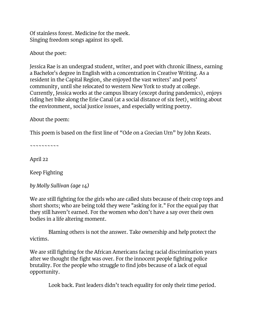Of stainless forest. Medicine for the meek. Singing freedom songs against its spell.

About the poet:

Jessica Rae is an undergrad student, writer, and poet with chronic illness, earning a Bachelor's degree in English with a concentration in Creative Writing. As a resident in the Capital Region, she enjoyed the vast writers' and poets' community, until she relocated to western New York to study at college. Currently, Jessica works at the campus library (except during pandemics), enjoys riding her bike along the Erie Canal (at a social distance of six feet), writing about the environment, social justice issues, and especially writing poetry.

About the poem:

This poem is based on the first line of "Ode on a Grecian Urn" by John Keats.

~~~~~~~~~~

April 22

Keep Fighting

*by Molly Sullivan (age 14)*

We are still fighting for the girls who are called sluts because of their crop tops and short shorts; who are being told they were "asking for it." For the equal pay that they still haven't earned. For the women who don't have a say over their own bodies in a life altering moment.

Blaming others is not the answer. Take ownership and help protect the victims.

We are still fighting for the African Americans facing racial discrimination years after we thought the fight was over. For the innocent people fighting police brutality. For the people who struggle to find jobs because of a lack of equal opportunity.

Look back. Past leaders didn't teach equality for only their time period.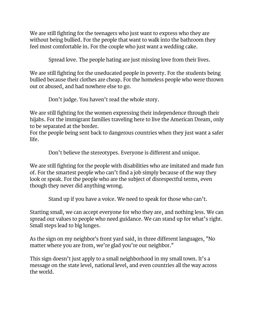We are still fighting for the teenagers who just want to express who they are without being bullied. For the people that want to walk into the bathroom they feel most comfortable in. For the couple who just want a wedding cake.

Spread love. The people hating are just missing love from their lives.

We are still fighting for the uneducated people in poverty. For the students being bullied because their clothes are cheap. For the homeless people who were thrown out or abused, and had nowhere else to go.

Don't judge. You haven't read the whole story.

We are still fighting for the women expressing their independence through their hijabs. For the immigrant families traveling here to live the American Dream, only to be separated at the border.

For the people being sent back to dangerous countries when they just want a safer life.

Don't believe the stereotypes. Everyone is different and unique.

We are still fighting for the people with disabilities who are imitated and made fun of. For the smartest people who can't find a job simply because of the way they look or speak. For the people who are the subject of disrespectful terms, even though they never did anything wrong.

Stand up if you have a voice. We need to speak for those who can't.

Starting small, we can accept everyone for who they are, and nothing less. We can spread our values to people who need guidance. We can stand up for what's right. Small steps lead to big lunges.

As the sign on my neighbor's front yard said, in three different languages, "No matter where you are from, we're glad you're our neighbor."

This sign doesn't just apply to a small neighborhood in my small town. It's a message on the state level, national level, and even countries all the way across the world.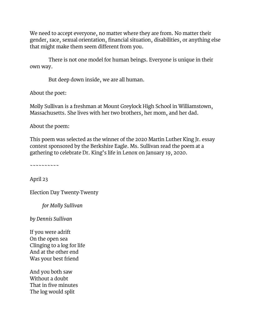We need to accept everyone, no matter where they are from. No matter their gender, race, sexual orientation, financial situation, disabilities, or anything else that might make them seem different from you.

There is not one model for human beings. Everyone is unique in their own way.

But deep down inside, we are all human.

About the poet:

Molly Sullivan is a freshman at Mount Greylock High School in Williamstown, Massachusetts. She lives with her two brothers, her mom, and her dad.

About the poem:

This poem was selected as the winner of the 2020 Martin Luther King Jr. essay contest sponsored by the Berkshire Eagle. Ms. Sullivan read the poem at a gathering to celebrate Dr. King's life in Lenox on January 19, 2020.

~~~~~~~~~~

April 23

Election Day Twenty-Twenty

*for Molly Sullivan*

*by Dennis Sullivan*

If you were adrift On the open sea Clinging to a log for life And at the other end Was your best friend

And you both saw Without a doubt That in five minutes The log would split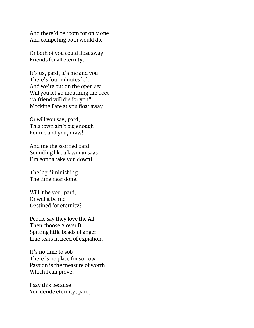And there'd be room for only one And competing both would die

Or both of you could float away Friends for all eternity.

It's us, pard, it's me and you There's four minutes left And we're out on the open sea Will you let go mouthing the poet "A friend will die for you" Mocking Fate at you float away

Or will you say, pard, This town ain't big enough For me and you, draw!

And me the scorned pard Sounding like a lawman says I'm gonna take you down!

The log diminishing The time near done.

Will it be you, pard, Or will it be me Destined for eternity?

People say they love the All Then choose A over B Spitting little beads of anger Like tears in need of expiation.

It's no time to sob There is no place for sorrow Passion is the measure of worth Which I can prove.

I say this because You deride eternity, pard,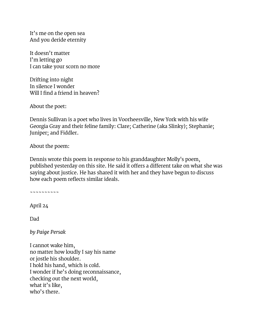It's me on the open sea And you deride eternity

It doesn't matter I'm letting go I can take your scorn no more

Drifting into night In silence I wonder Will I find a friend in heaven?

About the poet:

Dennis Sullivan is a poet who lives in Voorheesville, New York with his wife Georgia Gray and their feline family: Clare; Catherine (aka Slinky); Stephanie; Juniper; and Fiddler.

About the poem:

Dennis wrote this poem in response to his granddaughter Molly's poem, published yesterday on this site. He said it offers a different take on what she was saying about justice. He has shared it with her and they have begun to discuss how each poem reflects similar ideals.

~~~~~~~~~~

April 24

Dad

*by Paige Persak*

I cannot wake him, no matter how loudly I say his name or jostle his shoulder. I hold his hand, which is cold. I wonder if he's doing reconnaissance, checking out the next world, what it's like, who's there.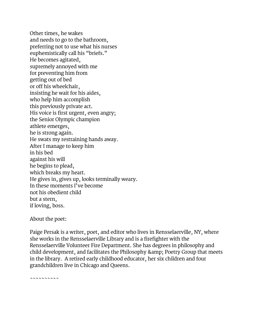Other times, he wakes and needs to go to the bathroom, preferring not to use what his nurses euphemistically call his "briefs." He becomes agitated, supremely annoyed with me for preventing him from getting out of bed or off his wheelchair, insisting he wait for his aides, who help him accomplish this previously private act. His voice is first urgent, even angry; the Senior Olympic champion athlete emerges, he is strong again. He swats my restraining hands away. After I manage to keep him in his bed against his will he begins to plead, which breaks my heart. He gives in, gives up, looks terminally weary. In these moments I've become not his obedient child but a stern, if loving, boss.

About the poet:

Paige Persak is a writer, poet, and editor who lives in Rensselaerville, NY, where she works in the Rensselaerville Library and is a firefighter with the Rensselaerville Volunteer Fire Department. She has degrees in philosophy and child development, and facilitates the Philosophy & amp; Poetry Group that meets in the library. A retired early childhood educator, her six children and four grandchildren live in Chicago and Queens.

~~~~~~~~~~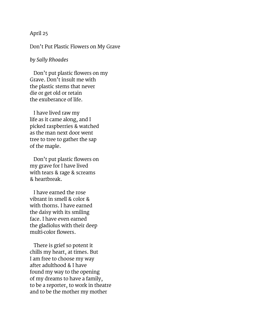#### April 25

Don't Put Plastic Flowers on My Grave

#### *by Sally Rhoades*

Don't put plastic flowers on my Grave. Don't insult me with the plastic stems that never die or get old or retain the exuberance of life.

I have lived raw my life as it came along, and I picked raspberries & watched as the man next door went tree to tree to gather the sap of the maple.

Don't put plastic flowers on my grave for I have lived with tears & rage & screams & heartbreak.

I have earned the rose vibrant in smell & color & with thorns. I have earned the daisy with its smiling face. I have even earned the gladiolus with their deep multi-color flowers.

There is grief so potent it chills my heart, at times. But I am free to choose my way after adulthood & I have found my way to the opening of my dreams to have a family, to be a reporter, to work in theatre and to be the mother my mother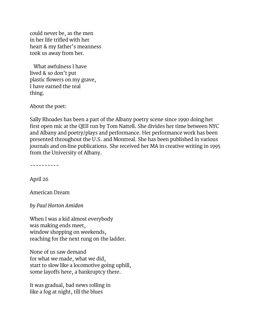could never be, as the men in her life trifled with her heart & my father's meanness took us away from her.

What awfulness I have lived & so don't put plastic flowers on my grave, I have earned the real thing.

About the poet:

Sally Rhoades has been a part of the Albany poetry scene since 1990 doing her first open mic at the QEII run by Tom Nattell. She divides her time between NYC and Albany and poetry/plays and performance. Her performance work has been presented throughout the U.S. and Montreal. She has been published in various journals and on-line publications. She received her MA in creative writing in 1995 from the University of Albany.

~~~~~~~~~~

April 26

American Dream

*by Paul Horton Amidon*

When I was a kid almost everybody was making ends meet, window shopping on weekends, reaching for the next rung on the ladder.

None of us saw demand for what we made, what we did, start to slow like a locomotive going uphill, some layoffs here, a bankruptcy there.

It was gradual, bad news rolling in like a fog at night, till the blues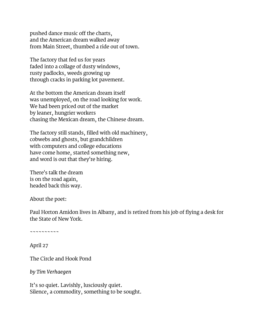pushed dance music off the charts, and the American dream walked away from Main Street, thumbed a ride out of town.

The factory that fed us for years faded into a collage of dusty windows, rusty padlocks, weeds growing up through cracks in parking lot pavement.

At the bottom the American dream itself was unemployed, on the road looking for work. We had been priced out of the market by leaner, hungrier workers chasing the Mexican dream, the Chinese dream.

The factory still stands, filled with old machinery, cobwebs and ghosts, but grandchildren with computers and college educations have come home, started something new, and word is out that they're hiring.

There's talk the dream is on the road again, headed back this way.

About the poet:

Paul Horton Amidon lives in Albany, and is retired from his job of flying a desk for the State of New York.

~~~~~~~~~~

April 27

The Circle and Hook Pond

*by Tim Verhaegen*

It's so quiet. Lavishly, lusciously quiet. Silence, a commodity, something to be sought.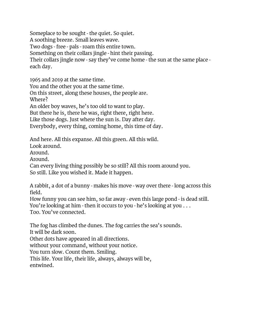Someplace to be sought - the quiet. So quiet. A soothing breeze. Small leaves wave. Two dogs - free - pals - roam this entire town. Something on their collars jingle - hint their passing. Their collars jingle now - say they've come home - the sun at the same place each day.

1965 and 2019 at the same time. You and the other you at the same time. On this street, along these houses, the people are. Where? An older boy waves, he's too old to want to play. But there he is, there he was, right there, right here. Like those dogs. Just where the sun is. Day after day.

Everybody, every thing, coming home, this time of day.

And here. All this expanse. All this green. All this wild.

Look around.

Around.

Around.

Can every living thing possibly be so still? All this room around you. So still. Like you wished it. Made it happen.

A rabbit, a dot of a bunny - makes his move - way over there - long across this field.

How funny you can see him, so far away - even this large pond - is dead still. You're looking at him - then it occurs to you - he's looking at you . . . Too. You've connected.

The fog has climbed the dunes. The fog carries the sea's sounds. It will be dark soon.

Other dots have appeared in all directions.

without your command, without your notice.

You turn slow. Count them. Smiling.

This life. Your life, their life, always, always will be, entwined.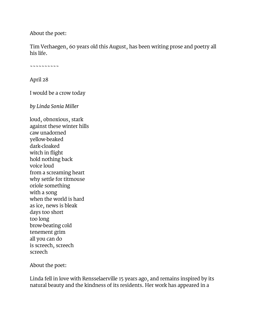About the poet:

Tim Verhaegen, 60 years old this August, has been writing prose and poetry all his life.

~~~~~~~~~~

April 28

I would be a crow today

*by Linda Sonia Miller*

loud, obnoxious, stark against these winter hills caw unadorned yellow-beaked dark-cloaked witch in flight hold nothing back voice loud from a screaming heart why settle for titmouse oriole something with a song when the world is hard as ice, news is bleak days too short too long brow-beating cold tenement grim all you can do is screech, screech screech

About the poet:

Linda fell in love with Rensselaerville 15 years ago, and remains inspired by its natural beauty and the kindness of its residents. Her work has appeared in a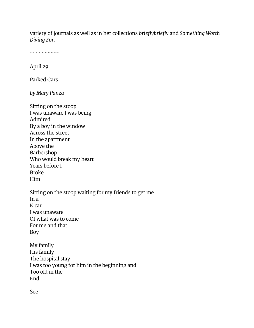variety of journals as well as in her collections *brieflybriefly* and *Something Worth Diving For.*

~~~~~~~~~~

April 29

Parked Cars

*by Mary Panza*

Sitting on the stoop I was unaware I was being Admired By a boy in the window Across the street In the apartment Above the Barbershop Who would break my heart Years before I Broke Him Sitting on the stoop waiting for my friends to get me  $In a$ K car I was unaware Of what was to come For me and that

Boy

My family His family The hospital stay I was too young for him in the beginning and Too old in the End

See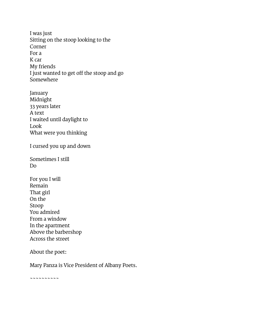I was just Sitting on the stoop looking to the Corner For a K car My friends I just wanted to get off the stoop and go Somewhere

January Midnight 33 years later A text I waited until daylight to Look What were you thinking

I cursed you up and down

Sometimes I still Do

For you I will Remain That girl On the Stoop You admired From a window In the apartment Above the barbershop Across the street

#### About the poet:

Mary Panza is Vice President of Albany Poets.

~~~~~~~~~~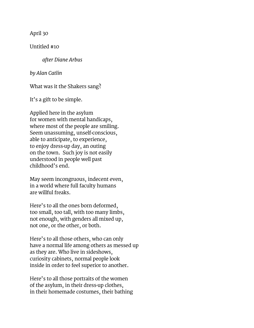April 30

Untitled #10

*after Diane Arbus*

*by Alan Catlin*

What was it the Shakers sang?

It's a gift to be simple.

Applied here in the asylum for women with mental handicaps, where most of the people are smiling. Seem unassuming, unself-conscious, able to anticipate, to experience, to enjoy dress-up day, an outing on the town. Such joy is not easily understood in people well past childhood's end.

May seem incongruous, indecent even, in a world where full faculty humans are willful freaks.

Here's to all the ones born deformed, too small, too tall, with too many limbs, not enough, with genders all mixed up, not one, or the other, or both.

Here's to all those others, who can only have a normal life among others as messed up as they are. Who live in sideshows, curiosity cabinets, normal people look inside in order to feel superior to another.

Here's to all those portraits of the women of the asylum, in their dress-up clothes, in their homemade costumes, their bathing